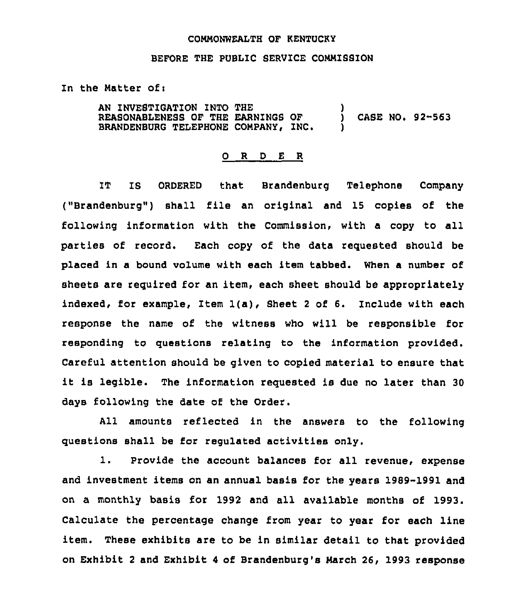## CONNONWEALTH OF KENTUCKY

## BEFORE THE PUBLIC SERVICE COMMISSION

In the Matter of:

AN INVESTIGATION INTO THE REASONABLENESS OF THE EARNINGS OF BRANDENBURG TELEPHONE COMPANY, INC. ) CASE NO. 92-563 )

## 0 R <sup>D</sup> E R

IT IS ORDERED that Brandenburg Telephone Company ("Brandenburg") shall file an original and 15 copies of the following information with the Commission, with a copy to all parties of record. Each copy of the data requested should be placed in a bound volume with each item tabbed. When a number of sheets are required for an item, each sheet should be appropriately indexed, for example, Item 1(a), Sheet <sup>2</sup> of 6. Include with each response the name of the witness who will be responsible for responding to questions relating to the information provided. Careful attention should be given to copied material to ensure that it is legible. The information requested is due no later than <sup>30</sup> days following the date of the Order.

All amounts reflected in the answers to the following questions shall be for regulated activities only.

1. provide the account balances for all revenue, expense and investment items on an annual basis for the years 1989-1991 and on a monthly basis for 1992 and all available months of 1993. Calculate the percentage change from year to year for each line item. These exhibits are to be in similar detail to that provided on Exhibit <sup>2</sup> and Exhibit 4 of Brandenburg's Narch 26, 1993 response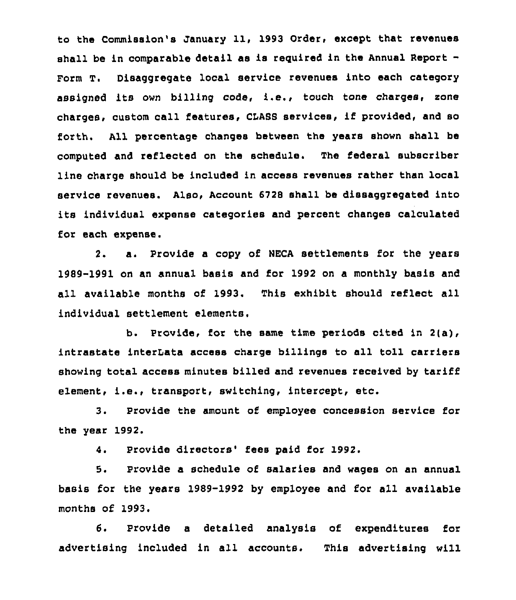to the Commission's January 11, 1993 Order, except that revenues shall be in comparable detail as is required in the Annual Report-Form T. Disaggregate local service revenues into each category assigned its own billing code, i.e., touch tone charges, xone charges, custom call features, CLASB services, if provided, and so forth. All percentage changes between the years shown shall be computed and reflected on the schedule. The federal subscriber line charge should be included in access revenues rather than local service revenues. Also, Account 6728 shall be dissaggregated into its individual expense categories and percent changes calculated for each expense.

2. a. Provide a copy of NECA settlements for the years 1989-1991 on an annual basis and for 1992 on a monthly basis and all available months of 1993. This exhibit should reflect all individual settlement elements.

b. Provide, for the same time periods cited in 2(a), intrastate interLata access charge billings to all toll carriers showing total access minutes billed and revenues received by tariff element, i.e., transport, switching, intercept, etc.

3. Provide the amount of employee concession service for the year 1992.

4. Provide directors'ees paid for 1992.

5. Provide a schedule of salaries and wages on an annual basis for the years 1989-1992 by employee and for ail available months of 1993.

6. Provide a detailed analysis of expenditures for advertising included in all accounts. This advertising will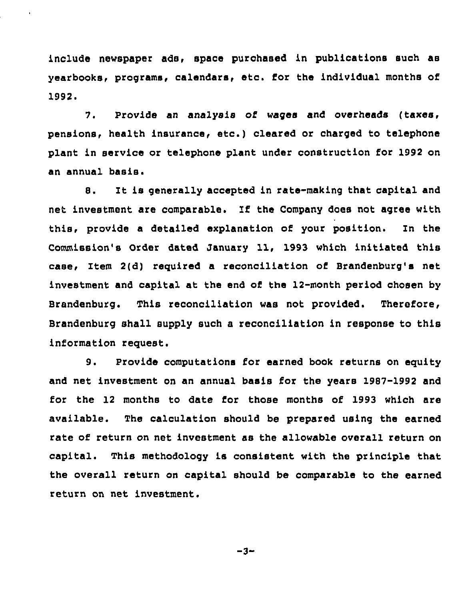include newspaper ads, space purchased in publications such as yearbooks, programs, calendars, etc. for the individual months of 1992.

¥

7. Provide an analysis of wages and overheads (taxes, pensions, health insurance, etc.) cleared or charged to telephone plant in service or telephone plant under construction for 1992 on an annual basis.

8. It is generally accepted in rate-making that capital and net investment are comparable. If the Company does not agree with this, provide a detailed explanation of your position. In the Commission's Order dated January 11, 1993 which initiated this case, Item 2(d) required a reconciliation of Brandenburg's net investment and capital at the end of the 12-month period chosen by Brandenburg. This reconciliation was not provided. Therefore, Brandenburg shall supply such a reconciliation in response to this information request.

9. Provide computations for earned book returns on equity and net investment on an annual basis for the years 1987-1992 and for the 12 months to date for those months of 1993 which are available. The calculation should be prepared using the earned rate of return on net investment as the allowable overall return on capital. This methodology is consistent with the principle that the overall return on capital should be comparable to the earned return on net investment.

 $-3-$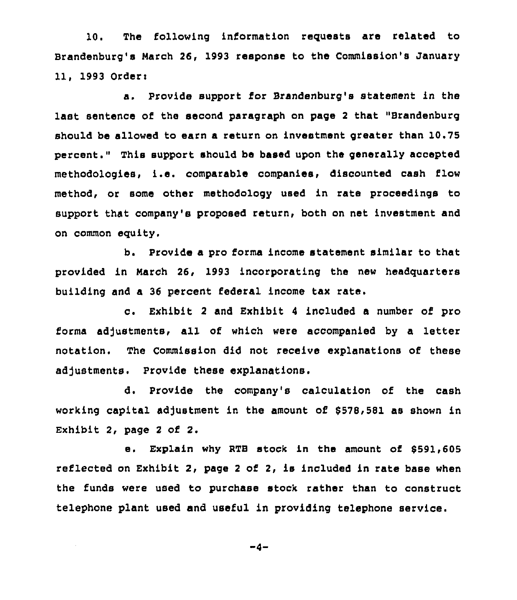10. The following information requests are related to Brandenburg's March 26, 1993 response to the Commission's January 11, 1993 Order:

a. Provide support for Brandenburg's statement in the last sentence of the second paragraph on page <sup>2</sup> that "Brandenburg should be allowed to earn a return on investment greater than 10.75 percent." This support should be based upon the generally accepted methodologies, i.e. comparable companies, discounted cash flow method, or some other methodology used in rate proceedings to support that company's proposed return, both on net investment and on common equity.

b. Provide a pro forma income statement similar to that provided in March 26, 1993 incorporating the new headquarters building and a 36 percent federal income tax rate.

c. Exhibit <sup>2</sup> and Exhibit <sup>4</sup> included <sup>a</sup> number of pro forms adjustments, all of which were accompanied by a letter notation. The Commission did not receive explanations of these adjustments. Provide these explanations.

d. Provide the company's calculation of the cash working capital adjustment in the amount of \$578,581 as shown in Exhibit 2, page <sup>2</sup> of 2.

e. Explain why RTB stock in the amount of 6591,605 reflected on Exhibit 2, page <sup>2</sup> of 2, is included in rate base when the funds were used to purchase stock rather than to construct telephone plant used and useful in providing telephone service.

 $-4-$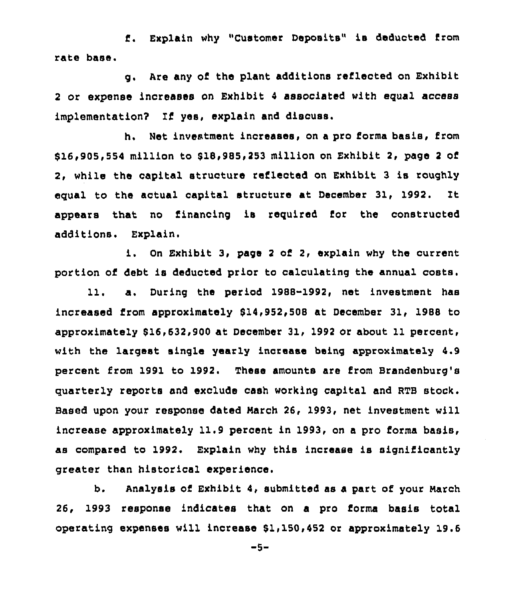Explain why "Customer Deposits" ie deducted, from  $f$ . rate base.

g. Are any of the plant additions reflected on Exhibit <sup>2</sup> or expense increases on Exhibit <sup>4</sup> associated with equal access implementation? If yes, explain and discuss.

h. Net investment increases, on a pro forma basis, from \$16,905,554 million to 818,985,253 million on Exhibit 2, page <sup>2</sup> of 2, while the capital structure reflected on Exhibit 3 is roughly equal to the actual capital structure at December 31, 1992. It appears that no financing is required for the constructed additions. Explain.

On Exhibit 3, page <sup>2</sup> of 2, explain why the current portion of debt is deducted prior to calculating the annual costs.

11. a. During the period 1988-1992, net investment has increased from approximately 814,952,508 at December 31, 1988 to approximately 816,632,900 at December 31, 1992 or about 11 percent, with the largest single yearly increase being approximately 4.9 percent from 1991 to 1992. These amounts are from Brandenburg's quarterly reports and exclude cash working capital and RTB stock. Based upon your response dated March 26, 1993, net investment will increase approximately 11.9 percent in 1993, on a pro forms basis, as compared to 1992. Explain why this increase is significantly greater than historical experience.

b. Analysis of Exhibit 4, submitted as a part of your March 26, 1993 response indicates that on a pro forma basis total operating expenses will increase 51,150,452 or approximately 19.6

-5-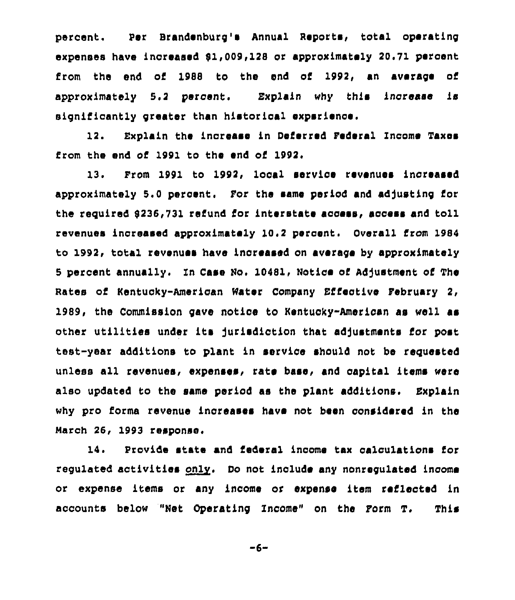percent. Per Brandenburg's Annual Reports, total operating expenses have increased 81,009,128 or approximately 20.71 percent from the end of 1988 to the end of 1992, an average of approximately 5.2 percent. Explain why this increase is significantly greater than historical experience.

12. Explain the increase in Deferred Federal Income Taxes from the end of 1991 to the end of 1992.

13. From 1991 to 1992, local service revenues increased approximately 5.0 percent. For the same period and adjusting for the required 8236,731 refund for interstate access, access and toll revenues increased approximately 10.2 percent. Overall from 1984 to 1992, total revenues have increased on average by approximately 5 percent annually. In Case No. 10481, Notice of Adjustment of The Nates of Kentucky-American Water Company Effective February 2, 1989, the Commission gave notice to Kentucky-American as well as other utilities under its jurisdiction that adjustments for post test-year additions to plant in service should not be requested unless all revenues, expenses, rate base, and capital items were also updated to the same period as the plant additions. Explain why pro forma revenue increases have not been considered in the March 26, 1993 response.

14. Provide state and federal income tax calculations for regulated activities only. Do not include any nonregulated income or expense items or any income or expense item reflected in accounts below "Net Operating Xncome" on the Form T, This

-6-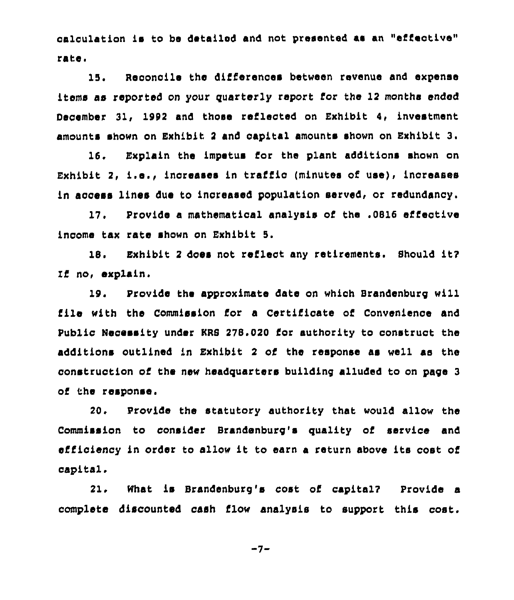calculation is to be detailed and not presented as an "effective" rate <sup>i</sup>

15, Reconcile the differences between revenue and expense items as reported on your quarterly report for the 12 months ended December 31, 1992 and those reflected on Exhibit 4, investment amounts shown on Exhibit <sup>2</sup> and capital amounts shown on Exhibit 3.

16. Explain the impetus for the plant additions shown on Exhibit 2, i.e., increases in traffic (minutes of use), increases in access lines due to inoreased population served, or redundancy.

17. Provide a mathematical analysis of the .0816 effective income tax rate shown on Exhibit 5.

18. Exhibit <sup>2</sup> does not reflect any retirements. Should it? Zf no, explain.

19. Provide the approximate date on which Brandenburg will file with the Commission for a Certificate of Convenience and Public Necessity under KRS 278.020 for authority to construct the additions outlined in Exhibit 2 of the response as well ae the construction of the new headquarters building alluded to on page 3 of the response.

20. Provide the statutory authority that would allow the Commission to consider Brandenburg's quality of service and efficiency in order to allow it to earn <sup>a</sup> return above its cost of capital.

21. What is Brandenburg's cost of capital? Provide a complete discounted cash flow analysis to support this cost.

 $-7-$